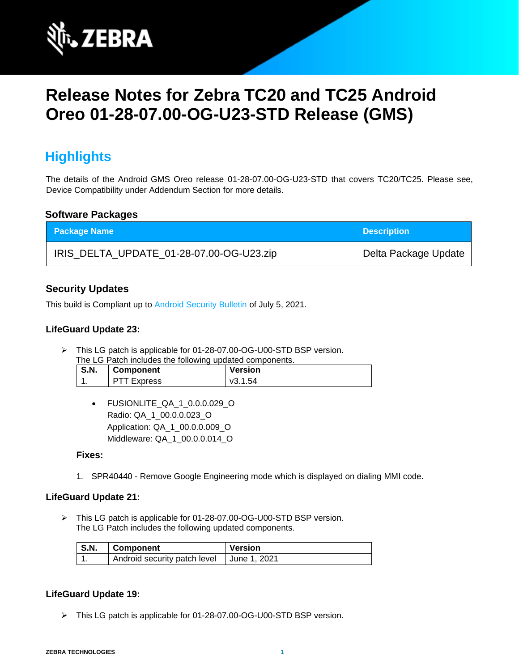

# **Release Notes for Zebra TC20 and TC25 Android Oreo 01-28-07.00-OG-U23-STD Release (GMS)**

# **Highlights**

The details of the Android GMS Oreo release 01-28-07.00-OG-U23-STD that covers TC20/TC25. Please see, Device Compatibility under Addendum Section for more details.

#### **Software Packages**

| <b>Package Name</b>                      | <b>Description</b>   |
|------------------------------------------|----------------------|
| IRIS_DELTA_UPDATE_01-28-07.00-OG-U23.zip | Delta Package Update |

### **Security Updates**

This build is Compliant up to [Android Security Bulletin](https://source.android.com/security/bulletin/) of July 5, 2021.

#### **LifeGuard Update 23:**

➢ This LG patch is applicable for 01-28-07.00-OG-U00-STD BSP version.

| The LG Patch includes the following updated components. |                    |                |
|---------------------------------------------------------|--------------------|----------------|
| <b>S.N.</b>                                             | Component          | <b>Version</b> |
|                                                         | <b>PTT Express</b> | v3.1.54        |

• FUSIONLITE\_QA\_1\_0.0.0.029\_O Radio: QA\_1\_00.0.0.023\_O Application: QA\_1\_00.0.0.009\_O Middleware: QA\_1\_00.0.0.014\_O

#### **Fixes:**

1. SPR40440 - Remove Google Engineering mode which is displayed on dialing MMI code.

#### **LifeGuard Update 21:**

➢ This LG patch is applicable for 01-28-07.00-OG-U00-STD BSP version. The LG Patch includes the following updated components.

| <b>S.N.</b> | Component                                   | Version |
|-------------|---------------------------------------------|---------|
|             | Android security patch level   June 1, 2021 |         |

### **LifeGuard Update 19:**

➢ This LG patch is applicable for 01-28-07.00-OG-U00-STD BSP version.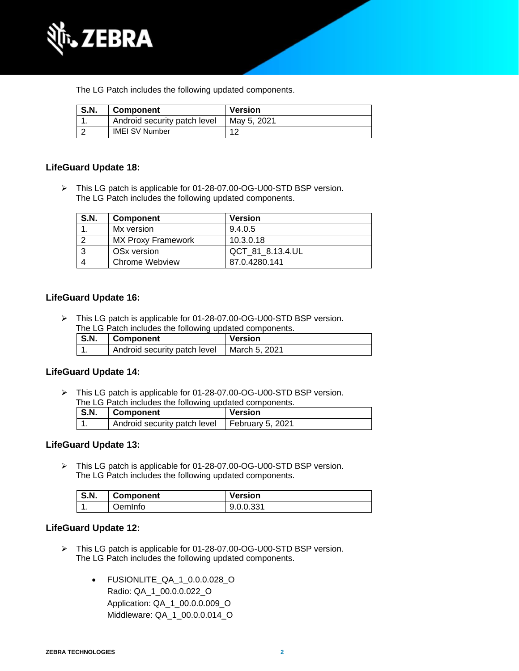

The LG Patch includes the following updated components.

| <b>S.N.</b> | <b>Component</b>             | <b>Version</b> |
|-------------|------------------------------|----------------|
|             | Android security patch level | Mav 5, 2021    |
|             | <b>IMEI SV Number</b>        |                |

#### **LifeGuard Update 18:**

➢ This LG patch is applicable for 01-28-07.00-OG-U00-STD BSP version. The LG Patch includes the following updated components.

| <b>S.N.</b> | <b>Component</b>          | <b>Version</b>   |
|-------------|---------------------------|------------------|
|             | Mx version                | 9.4.0.5          |
|             | <b>MX Proxy Framework</b> | 10.3.0.18        |
|             | OS <sub>x</sub> version   | QCT 81 8.13.4.UL |
|             | Chrome Webview            | 87.0.4280.141    |

#### **LifeGuard Update 16:**

➢ This LG patch is applicable for 01-28-07.00-OG-U00-STD BSP version. The LG Patch includes the following updated components.

| S.N. | <b>Component</b>             | <b>Version</b> |
|------|------------------------------|----------------|
|      | Android security patch level | March 5, 2021  |

#### **LifeGuard Update 14:**

➢ This LG patch is applicable for 01-28-07.00-OG-U00-STD BSP version. The LG Patch includes the following updated components.

| S.N. | Component                                       | <b>Version</b> |
|------|-------------------------------------------------|----------------|
|      | Android security patch level   February 5, 2021 |                |

#### **LifeGuard Update 13:**

➢ This LG patch is applicable for 01-28-07.00-OG-U00-STD BSP version. The LG Patch includes the following updated components.

| S.N. | Component | <b>Version</b> |
|------|-----------|----------------|
|      | OemInfo   | $900331$       |

#### **LifeGuard Update 12:**

- ➢ This LG patch is applicable for 01-28-07.00-OG-U00-STD BSP version. The LG Patch includes the following updated components.
	- FUSIONLITE\_QA\_1\_0.0.0.028\_O Radio: QA\_1\_00.0.0.022\_O Application: QA\_1\_00.0.0.009\_O Middleware: QA\_1\_00.0.0.014\_O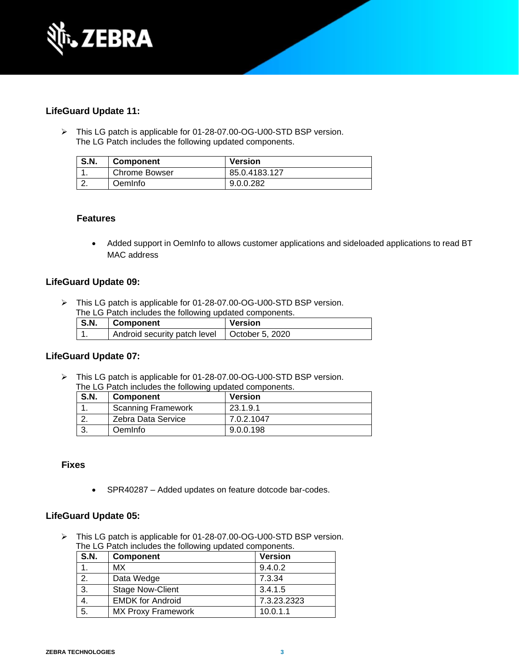

#### **LifeGuard Update 11:**

➢ This LG patch is applicable for 01-28-07.00-OG-U00-STD BSP version. The LG Patch includes the following updated components.

| <b>S.N.</b> | <b>Component</b>     | <b>Version</b> |
|-------------|----------------------|----------------|
|             | <b>Chrome Bowser</b> | 85.0.4183.127  |
|             | OemInfo              | 9.0.0.282      |

#### **Features**

• Added support in OemInfo to allows customer applications and sideloaded applications to read BT MAC address

#### **LifeGuard Update 09:**

➢ This LG patch is applicable for 01-28-07.00-OG-U00-STD BSP version. The LG Patch includes the following updated components.

| $\mathsf{S}.\mathsf{N}$ . | Component                                      | <b>Version</b> |
|---------------------------|------------------------------------------------|----------------|
|                           | Android security patch level   October 5, 2020 |                |

#### **LifeGuard Update 07:**

➢ This LG patch is applicable for 01-28-07.00-OG-U00-STD BSP version. The LG Patch includes the following updated components.

| <b>S.N.</b> | <b>Component</b>          | <b>Version</b> |
|-------------|---------------------------|----------------|
|             | <b>Scanning Framework</b> | 23.1.9.1       |
|             | Zebra Data Service        | 7.0.2.1047     |
|             | Oemlnfo                   | 9.0.0.198      |

#### **Fixes**

• SPR40287 – Added updates on feature dotcode bar-codes.

#### **LifeGuard Update 05:**

➢ This LG patch is applicable for 01-28-07.00-OG-U00-STD BSP version. The LG Patch includes the following updated components.

| <b>S.N.</b> | <b>Component</b>          | <b>Version</b> |
|-------------|---------------------------|----------------|
|             | МX                        | 9.4.0.2        |
| 2.          | Data Wedge                | 7.3.34         |
| 3.          | <b>Stage Now-Client</b>   | 3.4.1.5        |
| 4.          | <b>EMDK for Android</b>   | 7.3.23.2323    |
| 5.          | <b>MX Proxy Framework</b> | 10.0.1.1       |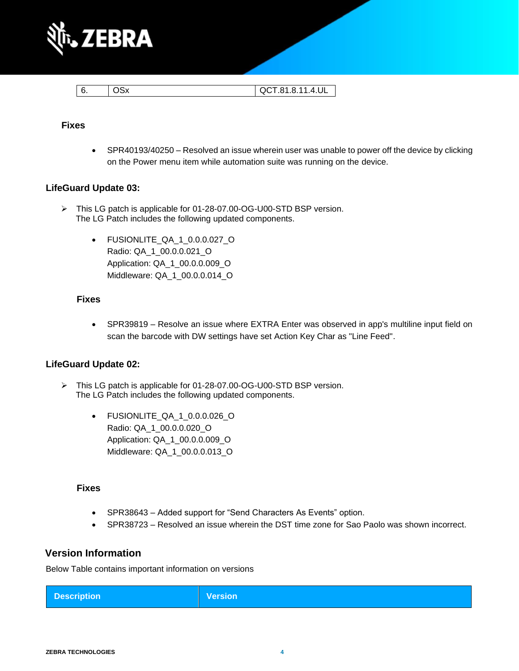

| - 6. | <b>OSx</b> | QCT.81.8.11.4.UL |
|------|------------|------------------|

#### **Fixes**

• SPR40193/40250 – Resolved an issue wherein user was unable to power off the device by clicking on the Power menu item while automation suite was running on the device.

#### **LifeGuard Update 03:**

- ➢ This LG patch is applicable for 01-28-07.00-OG-U00-STD BSP version. The LG Patch includes the following updated components.
	- FUSIONLITE\_QA\_1\_0.0.0.027\_O Radio: QA\_1\_00.0.0.021\_O Application: QA\_1\_00.0.0.009\_O Middleware: QA\_1\_00.0.0.014\_O

#### **Fixes**

• SPR39819 – Resolve an issue where EXTRA Enter was observed in app's multiline input field on scan the barcode with DW settings have set Action Key Char as "Line Feed".

#### **LifeGuard Update 02:**

- ➢ This LG patch is applicable for 01-28-07.00-OG-U00-STD BSP version. The LG Patch includes the following updated components.
	- FUSIONLITE\_QA\_1\_0.0.0.026\_O Radio: QA\_1\_00.0.0.020\_O Application: QA\_1\_00.0.0.009\_O Middleware: QA\_1\_00.0.0.013\_O

#### **Fixes**

- SPR38643 Added support for "Send Characters As Events" option.
- SPR38723 Resolved an issue wherein the DST time zone for Sao Paolo was shown incorrect.

#### **Version Information**

Below Table contains important information on versions

|  | <b>Description</b> | <b>Version</b> |
|--|--------------------|----------------|
|--|--------------------|----------------|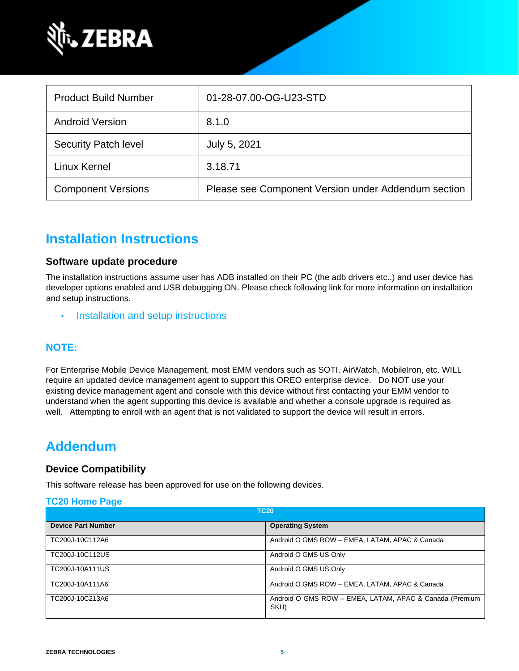

| <b>Product Build Number</b> | 01-28-07.00-OG-U23-STD                              |
|-----------------------------|-----------------------------------------------------|
| <b>Android Version</b>      | 8.1.0                                               |
| <b>Security Patch level</b> | July 5, 2021                                        |
| <b>Linux Kernel</b>         | 3.18.71                                             |
| <b>Component Versions</b>   | Please see Component Version under Addendum section |

# **Installation Instructions**

#### **Software update procedure**

The installation instructions assume user has ADB installed on their PC (the adb drivers etc..) and user device has developer options enabled and USB debugging ON. Please check following link for more information on installation and setup instructions.

• [Installation and setup instructions](https://www.zebra.com/content/dam/zebra_new_ia/en-us/software/operating-system/tc20-operating-system/Android-O-OS-Update-TC20-and-TC25-GMS.pdf)

### **NOTE:**

For Enterprise Mobile Device Management, most EMM vendors such as SOTI, AirWatch, MobileIron, etc. WILL require an updated device management agent to support this OREO enterprise device. Do NOT use your existing device management agent and console with this device without first contacting your EMM vendor to understand when the agent supporting this device is available and whether a console upgrade is required as well. Attempting to enroll with an agent that is not validated to support the device will result in errors.

## **Addendum**

#### **Device Compatibility**

This software release has been approved for use on the following devices.

#### **[TC20 Home Page](https://www.zebra.com/us/en/support-downloads/software/operating-system/tc20-operating-system.html)**

| <b>TC20</b>               |                                                                 |
|---------------------------|-----------------------------------------------------------------|
| <b>Device Part Number</b> | <b>Operating System</b>                                         |
| TC200J-10C112A6           | Android O GMS ROW - EMEA, LATAM, APAC & Canada                  |
| TC200J-10C112US           | Android O GMS US Only                                           |
| TC200J-10A111US           | Android O GMS US Only                                           |
| TC200J-10A111A6           | Android O GMS ROW - EMEA, LATAM, APAC & Canada                  |
| TC200J-10C213A6           | Android O GMS ROW - EMEA, LATAM, APAC & Canada (Premium<br>SKU) |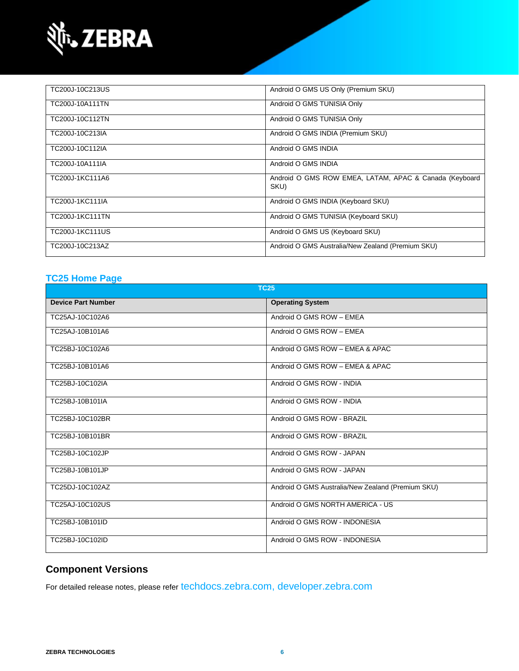

| TC200J-10C213US | Android O GMS US Only (Premium SKU)                            |
|-----------------|----------------------------------------------------------------|
| TC200J-10A111TN | Android O GMS TUNISIA Only                                     |
| TC200J-10C112TN | Android O GMS TUNISIA Only                                     |
| TC200J-10C213IA | Android O GMS INDIA (Premium SKU)                              |
| TC200J-10C112IA | Android O GMS INDIA                                            |
| TC200J-10A111IA | Android O GMS INDIA                                            |
| TC200J-1KC111A6 | Android O GMS ROW EMEA, LATAM, APAC & Canada (Keyboard<br>SKU) |
| TC200J-1KC111IA | Android O GMS INDIA (Keyboard SKU)                             |
| TC200J-1KC111TN | Android O GMS TUNISIA (Keyboard SKU)                           |
| TC200J-1KC111US | Android O GMS US (Keyboard SKU)                                |
| TC200J-10C213AZ | Android O GMS Australia/New Zealand (Premium SKU)              |

### **[TC25 Home Page](https://www.zebra.com/us/en/support-downloads/software/operating-system/tc25-operating-system.html)**

| <b>TC25</b>               |                                                   |  |
|---------------------------|---------------------------------------------------|--|
| <b>Device Part Number</b> | <b>Operating System</b>                           |  |
| TC25AJ-10C102A6           | Android O GMS ROW - EMEA                          |  |
| TC25AJ-10B101A6           | Android O GMS ROW - EMEA                          |  |
| TC25BJ-10C102A6           | Android O GMS ROW - EMEA & APAC                   |  |
| TC25BJ-10B101A6           | Android O GMS ROW - EMEA & APAC                   |  |
| TC25BJ-10C102IA           | Android O GMS ROW - INDIA                         |  |
| TC25BJ-10B101IA           | Android O GMS ROW - INDIA                         |  |
| TC25BJ-10C102BR           | Android O GMS ROW - BRAZIL                        |  |
| TC25BJ-10B101BR           | Android O GMS ROW - BRAZIL                        |  |
| TC25BJ-10C102JP           | Android O GMS ROW - JAPAN                         |  |
| TC25BJ-10B101JP           | Android O GMS ROW - JAPAN                         |  |
| TC25DJ-10C102AZ           | Android O GMS Australia/New Zealand (Premium SKU) |  |
| TC25AJ-10C102US           | Android O GMS NORTH AMERICA - US                  |  |
| TC25BJ-10B101ID           | Android O GMS ROW - INDONESIA                     |  |
| TC25BJ-10C102ID           | Android O GMS ROW - INDONESIA                     |  |

### **Component Versions**

For detailed release notes, please refer [techdocs.zebra.com,](https://techdocs.zebra.com/) [developer.zebra.com](https://developer.zebra.com/)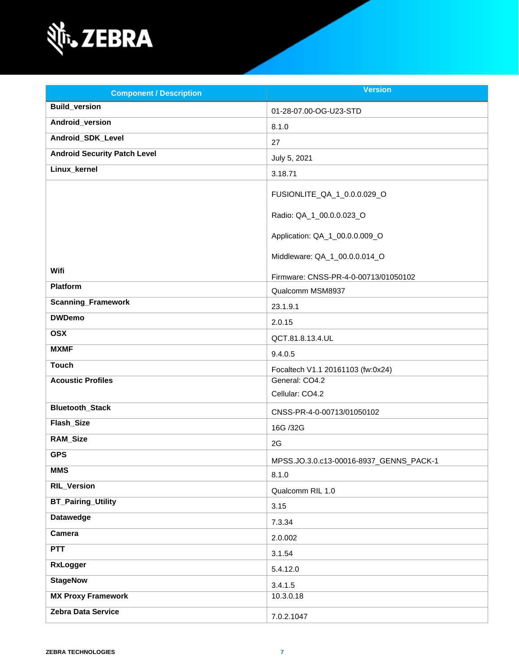

| <b>Component / Description</b>      | <b>Version</b>                          |
|-------------------------------------|-----------------------------------------|
| <b>Build_version</b>                | 01-28-07.00-OG-U23-STD                  |
| Android_version                     | 8.1.0                                   |
| Android_SDK_Level                   | 27                                      |
| <b>Android Security Patch Level</b> | July 5, 2021                            |
| Linux_kernel                        | 3.18.71                                 |
|                                     | FUSIONLITE_QA_1_0.0.0.029_O             |
|                                     | Radio: QA_1_00.0.0.023_O                |
|                                     | Application: QA_1_00.0.0.009_O          |
|                                     | Middleware: QA_1_00.0.0.014_O           |
| Wifi                                | Firmware: CNSS-PR-4-0-00713/01050102    |
| Platform                            | Qualcomm MSM8937                        |
| <b>Scanning_Framework</b>           | 23.1.9.1                                |
| <b>DWDemo</b>                       | 2.0.15                                  |
| <b>OSX</b>                          | QCT.81.8.13.4.UL                        |
| <b>MXMF</b>                         | 9.4.0.5                                 |
| <b>Touch</b>                        | Focaltech V1.1 20161103 (fw:0x24)       |
| <b>Acoustic Profiles</b>            | General: CO4.2                          |
|                                     | Cellular: CO4.2                         |
| <b>Bluetooth_Stack</b>              | CNSS-PR-4-0-00713/01050102              |
| Flash_Size                          | 16G /32G                                |
| <b>RAM_Size</b>                     | 2G                                      |
| <b>GPS</b>                          | MPSS.JO.3.0.c13-00016-8937_GENNS_PACK-1 |
| <b>MMS</b>                          | 8.1.0                                   |
| <b>RIL_Version</b>                  | Qualcomm RIL 1.0                        |
| <b>BT_Pairing_Utility</b>           | 3.15                                    |
| <b>Datawedge</b>                    | 7.3.34                                  |
| Camera                              | 2.0.002                                 |
| <b>PTT</b>                          | 3.1.54                                  |
| <b>RxLogger</b>                     | 5.4.12.0                                |
| <b>StageNow</b>                     | 3.4.1.5                                 |
| <b>MX Proxy Framework</b>           | 10.3.0.18                               |
| Zebra Data Service                  | 7.0.2.1047                              |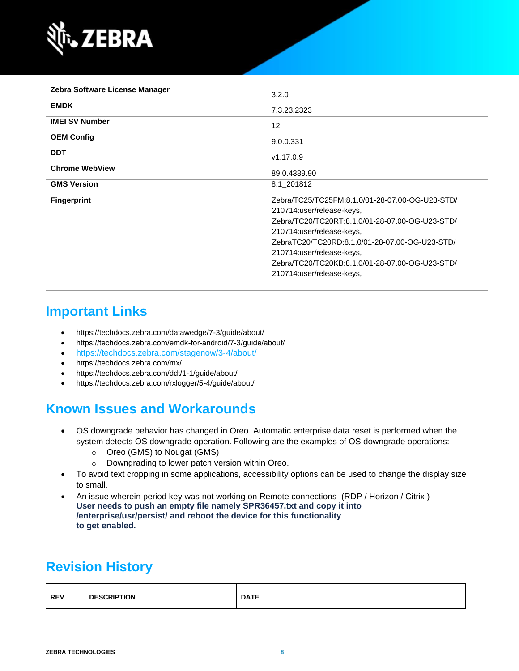

| Zebra Software License Manager | 3.2.0                                                                                                                                                                                                                                                                                                                       |
|--------------------------------|-----------------------------------------------------------------------------------------------------------------------------------------------------------------------------------------------------------------------------------------------------------------------------------------------------------------------------|
| <b>EMDK</b>                    | 7.3.23.2323                                                                                                                                                                                                                                                                                                                 |
| <b>IMEI SV Number</b>          | $12 \overline{ }$                                                                                                                                                                                                                                                                                                           |
| <b>OEM Config</b>              | 9.0.0.331                                                                                                                                                                                                                                                                                                                   |
| <b>DDT</b>                     | v1.17.0.9                                                                                                                                                                                                                                                                                                                   |
| <b>Chrome WebView</b>          | 89.0.4389.90                                                                                                                                                                                                                                                                                                                |
| <b>GMS Version</b>             | 8.1 201812                                                                                                                                                                                                                                                                                                                  |
| <b>Fingerprint</b>             | Zebra/TC25/TC25FM:8.1.0/01-28-07.00-OG-U23-STD/<br>210714:user/release-keys,<br>Zebra/TC20/TC20RT:8.1.0/01-28-07.00-OG-U23-STD/<br>210714:user/release-keys,<br>ZebraTC20/TC20RD:8.1.0/01-28-07.00-OG-U23-STD/<br>210714:user/release-keys,<br>Zebra/TC20/TC20KB:8.1.0/01-28-07.00-OG-U23-STD/<br>210714:user/release-keys, |

# **Important Links**

- <https://techdocs.zebra.com/datawedge/7-3/guide/about/>
- <https://techdocs.zebra.com/emdk-for-android/7-3/guide/about/>
- <https://techdocs.zebra.com/stagenow/3-4/about/>
- <https://techdocs.zebra.com/mx/>
- <https://techdocs.zebra.com/ddt/1-1/guide/about/>
- <https://techdocs.zebra.com/rxlogger/5-4/guide/about/>

## **Known Issues and Workarounds**

- OS downgrade behavior has changed in Oreo. Automatic enterprise data reset is performed when the system detects OS downgrade operation. Following are the examples of OS downgrade operations:
	- o Oreo (GMS) to Nougat (GMS)
	- o Downgrading to lower patch version within Oreo.
- To avoid text cropping in some applications, accessibility options can be used to change the display size to small.
- An issue wherein period key was not working on Remote connections (RDP / Horizon / Citrix ) **User needs to push an empty file namely SPR36457.txt and copy it into /enterprise/usr/persist/ and reboot the device for this functionality to get enabled.**

# **Revision History**

| <b>REV</b> | <b>DESCRIPTION</b> | <b>DATE</b> |
|------------|--------------------|-------------|
|            |                    |             |